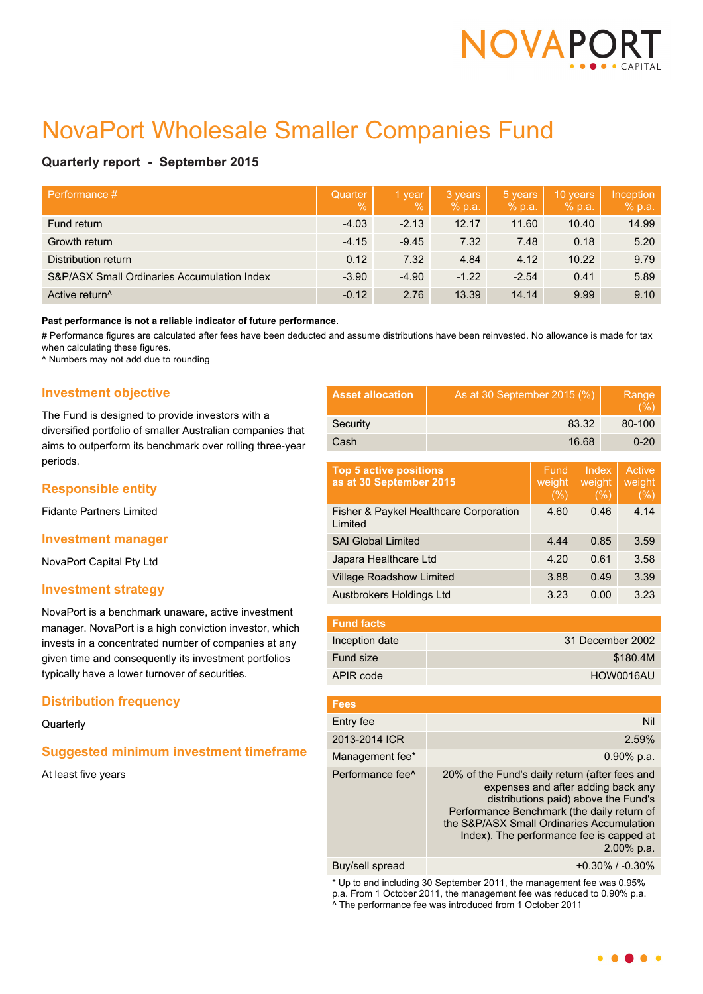

# NovaPort Wholesale Smaller Companies Fund

# **Quarterly report - September 2015**

| Performance #                               | Quarter<br>$\frac{0}{0}$ | 1 year<br>$\overline{\mathbb{Q}}_0$ | 3 years<br>% p.a. | 5 years<br>% p.a. | 10 years<br>% p.a. | Inception<br>% p.a. |
|---------------------------------------------|--------------------------|-------------------------------------|-------------------|-------------------|--------------------|---------------------|
| Fund return                                 | $-4.03$                  | $-2.13$                             | 12.17             | 11.60             | 10.40              | 14.99               |
| Growth return                               | $-4.15$                  | $-9.45$                             | 7.32              | 7.48              | 0.18               | 5.20                |
| Distribution return                         | 0.12                     | 7.32                                | 4.84              | 4.12              | 10.22              | 9.79                |
| S&P/ASX Small Ordinaries Accumulation Index | $-3.90$                  | $-4.90$                             | $-1.22$           | $-2.54$           | 0.41               | 5.89                |
| Active return <sup>^</sup>                  | $-0.12$                  | 2.76                                | 13.39             | 14.14             | 9.99               | 9.10                |

#### **Past performance is not a reliable indicator of future performance.**

# Performance figures are calculated after fees have been deducted and assume distributions have been reinvested. No allowance is made for tax when calculating these figures.

^ Numbers may not add due to rounding

## **Investment objective**

The Fund is designed to provide investors with a diversified portfolio of smaller Australian companies that aims to outperform its benchmark over rolling three-year periods.

## **Responsible entity**

Fidante Partners Limited

#### **Investment manager**

NovaPort Capital Pty Ltd

## **Investment strategy**

NovaPort is a benchmark unaware, active investment manager. NovaPort is a high conviction investor, which invests in a concentrated number of companies at any given time and consequently its investment portfolios typically have a lower turnover of securities.

## **Distribution frequency**

## **Quarterly**

## **Suggested minimum investment timeframe**

At least five years

| <b>Asset allocation</b> | As at 30 September 2015 (%) | Range<br>(%) |
|-------------------------|-----------------------------|--------------|
| Security                | 83.32                       | 80-100       |
| Cash                    | 16.68                       | $0 - 20$     |

| <b>Top 5 active positions</b><br>as at 30 September 2015 | Fund<br>weight<br>(%) | Index<br>weight<br>(% ) | Active<br>weight<br>$(\%)$ |
|----------------------------------------------------------|-----------------------|-------------------------|----------------------------|
| Fisher & Paykel Healthcare Corporation<br>Limited        | 4.60                  | 0.46                    | 4.14                       |
| <b>SAI Global Limited</b>                                | 4.44                  | 0.85                    | 3.59                       |
| Japara Healthcare Ltd                                    | 4.20                  | 0.61                    | 3.58                       |
| <b>Village Roadshow Limited</b>                          | 3.88                  | 0.49                    | 3.39                       |
| Austbrokers Holdings Ltd                                 | 3.23                  | 0.00                    | 3.23                       |

| <b>Fund facts</b> |                  |
|-------------------|------------------|
| Inception date    | 31 December 2002 |
| Fund size         | \$180.4M         |
| APIR code         | HOW0016AU        |

| <b>Fees</b>                  |                                                                                                                                                                                                                                                                                   |
|------------------------------|-----------------------------------------------------------------------------------------------------------------------------------------------------------------------------------------------------------------------------------------------------------------------------------|
| Entry fee                    | Nil                                                                                                                                                                                                                                                                               |
| 2013-2014 ICR                | 2.59%                                                                                                                                                                                                                                                                             |
| Management fee*              | $0.90\%$ p.a.                                                                                                                                                                                                                                                                     |
| Performance fee <sup>^</sup> | 20% of the Fund's daily return (after fees and<br>expenses and after adding back any<br>distributions paid) above the Fund's<br>Performance Benchmark (the daily return of<br>the S&P/ASX Small Ordinaries Accumulation<br>Index). The performance fee is capped at<br>2.00% p.a. |
| Buy/sell spread              | $+0.30\%$ / $-0.30\%$                                                                                                                                                                                                                                                             |

\* Up to and including 30 September 2011, the management fee was 0.95% p.a. From 1 October 2011, the management fee was reduced to 0.90% p.a. ^ The performance fee was introduced from 1 October 2011

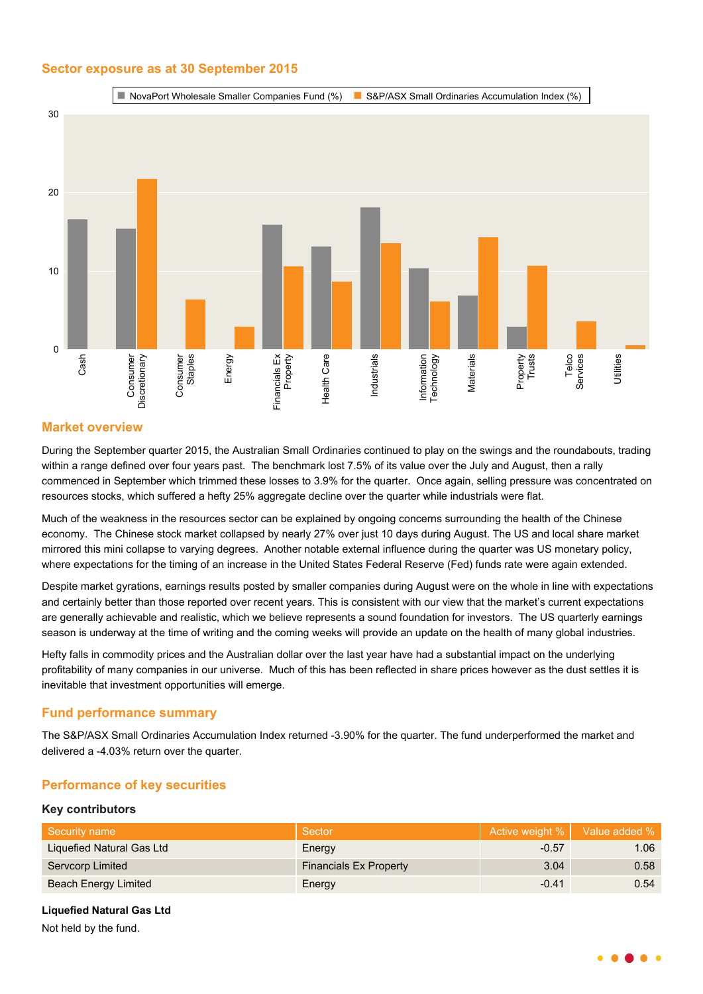## **Sector exposure as at 30 September 2015**



## **Market overview**

During the September quarter 2015, the Australian Small Ordinaries continued to play on the swings and the roundabouts, trading within a range defined over four years past. The benchmark lost 7.5% of its value over the July and August, then a rally commenced in September which trimmed these losses to 3.9% for the quarter. Once again, selling pressure was concentrated on resources stocks, which suffered a hefty 25% aggregate decline over the quarter while industrials were flat.

Much of the weakness in the resources sector can be explained by ongoing concerns surrounding the health of the Chinese economy. The Chinese stock market collapsed by nearly 27% over just 10 days during August. The US and local share market mirrored this mini collapse to varying degrees. Another notable external influence during the quarter was US monetary policy, where expectations for the timing of an increase in the United States Federal Reserve (Fed) funds rate were again extended.

Despite market gyrations, earnings results posted by smaller companies during August were on the whole in line with expectations and certainly better than those reported over recent years. This is consistent with our view that the market's current expectations are generally achievable and realistic, which we believe represents a sound foundation for investors. The US quarterly earnings season is underway at the time of writing and the coming weeks will provide an update on the health of many global industries.

Hefty falls in commodity prices and the Australian dollar over the last year have had a substantial impact on the underlying profitability of many companies in our universe. Much of this has been reflected in share prices however as the dust settles it is inevitable that investment opportunities will emerge.

## **Fund performance summary**

The S&P/ASX Small Ordinaries Accumulation Index returned -3.90% for the quarter. The fund underperformed the market and delivered a -4.03% return over the quarter.

# **Performance of key securities**

## **Key contributors**

| Security name             | Sector                        |         | Active weight %   Value added % |
|---------------------------|-------------------------------|---------|---------------------------------|
| Liquefied Natural Gas Ltd | Energy                        | $-0.57$ | 1.06                            |
| Servcorp Limited          | <b>Financials Ex Property</b> | 3.04    | 0.58                            |
| Beach Energy Limited      | Energy                        | $-0.41$ | 0.54                            |

**Liquefied Natural Gas Ltd**

Not held by the fund.